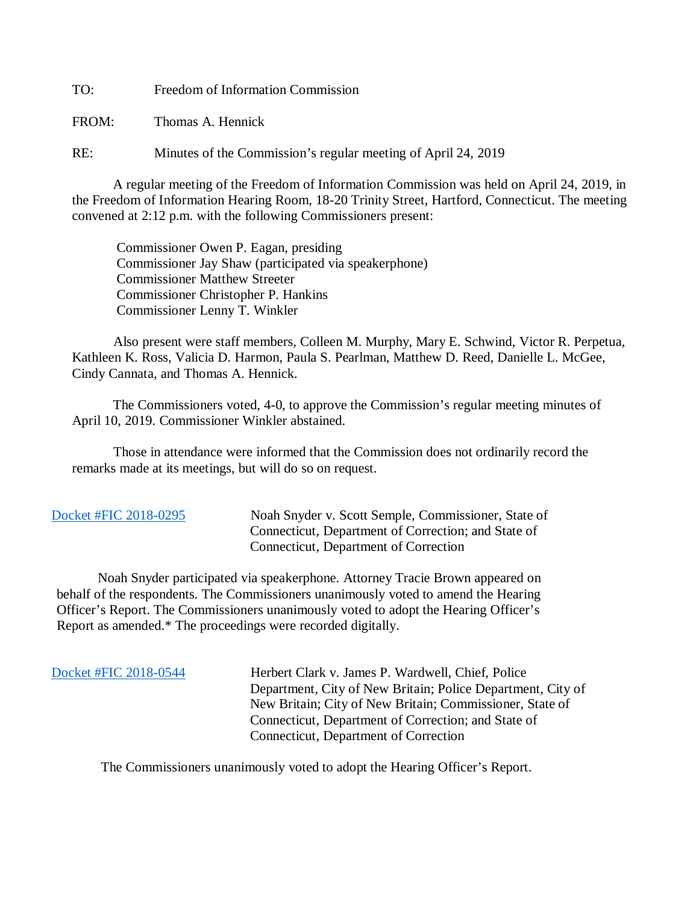TO: Freedom of Information Commission

FROM: Thomas A. Hennick

RE: Minutes of the Commission's regular meeting of April 24, 2019

A regular meeting of the Freedom of Information Commission was held on April 24, 2019, in the Freedom of Information Hearing Room, 18-20 Trinity Street, Hartford, Connecticut. The meeting convened at 2:12 p.m. with the following Commissioners present:

 Commissioner Owen P. Eagan, presiding Commissioner Jay Shaw (participated via speakerphone) Commissioner Matthew Streeter Commissioner Christopher P. Hankins Commissioner Lenny T. Winkler

 Also present were staff members, Colleen M. Murphy, Mary E. Schwind, Victor R. Perpetua, Kathleen K. Ross, Valicia D. Harmon, Paula S. Pearlman, Matthew D. Reed, Danielle L. McGee, Cindy Cannata, and Thomas A. Hennick.

The Commissioners voted, 4-0, to approve the Commission's regular meeting minutes of April 10, 2019. Commissioner Winkler abstained.

 Those in attendance were informed that the Commission does not ordinarily record the remarks made at its meetings, but will do so on request.

 [Docket #FIC 2018-0295](https://www.ct.gov/foi/lib/foi/minutes/2019/april24/2018-0295.pdf) Noah Snyder v. Scott Semple, Commissioner, State of Connecticut, Department of Correction; and State of Connecticut, Department of Correction

 Noah Snyder participated via speakerphone. Attorney Tracie Brown appeared on behalf of the respondents. The Commissioners unanimously voted to amend the Hearing Officer's Report. The Commissioners unanimously voted to adopt the Hearing Officer's Report as amended.\* The proceedings were recorded digitally.

[Docket #FIC 2018-0544](https://www.ct.gov/foi/lib/foi/minutes/2019/april24/2018-0544.pdf) Herbert Clark v. James P. Wardwell, Chief, Police Department, City of New Britain; Police Department, City of New Britain; City of New Britain; Commissioner, State of Connecticut, Department of Correction; and State of Connecticut, Department of Correction

The Commissioners unanimously voted to adopt the Hearing Officer's Report.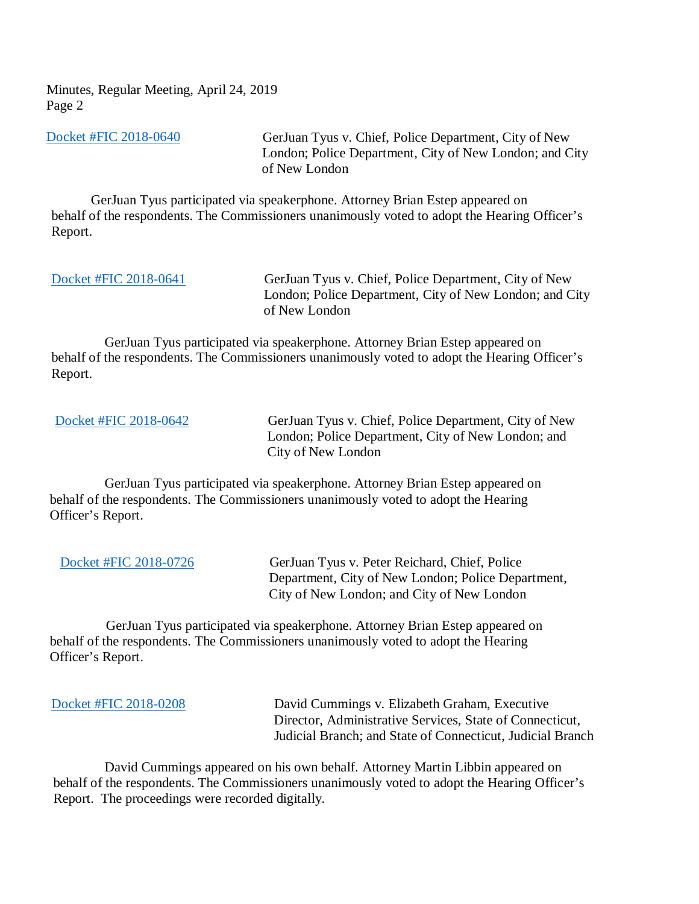Minutes, Regular Meeting, April 24, 2019 Page 2

[Docket #FIC 2018-0640](https://www.ct.gov/foi/lib/foi/minutes/2019/april24/2018-0640.pdf) GerJuan Tyus v. Chief, Police Department, City of New London; Police Department, City of New London; and City of New London

 GerJuan Tyus participated via speakerphone. Attorney Brian Estep appeared on behalf of the respondents. The Commissioners unanimously voted to adopt the Hearing Officer's Report.

[Docket #FIC 2018-0641](https://www.ct.gov/foi/lib/foi/minutes/2019/april24/2018-0641.pdf) GerJuan Tyus v. Chief, Police Department, City of New London; Police Department, City of New London; and City of New London

 GerJuan Tyus participated via speakerphone. Attorney Brian Estep appeared on behalf of the respondents. The Commissioners unanimously voted to adopt the Hearing Officer's Report.

[Docket #FIC 2018-0642](https://www.ct.gov/foi/lib/foi/minutes/2019/april24/2018-0642.pdf) GerJuan Tyus v. Chief, Police Department, City of New London; Police Department, City of New London; and City of New London

 GerJuan Tyus participated via speakerphone. Attorney Brian Estep appeared on behalf of the respondents. The Commissioners unanimously voted to adopt the Hearing Officer's Report.

 [Docket #FIC 2018-0726](https://www.ct.gov/foi/lib/foi/minutes/2019/april24/2018-0726.pdf) GerJuan Tyus v. Peter Reichard, Chief, Police Department, City of New London; Police Department, City of New London; and City of New London

 GerJuan Tyus participated via speakerphone. Attorney Brian Estep appeared on behalf of the respondents. The Commissioners unanimously voted to adopt the Hearing Officer's Report.

 [Docket #FIC 2018-0208](https://www.ct.gov/foi/lib/foi/minutes/2019/april24/2018-0208.pdf) David Cummings v. Elizabeth Graham, Executive Director, Administrative Services, State of Connecticut, Judicial Branch; and State of Connecticut, Judicial Branch

 David Cummings appeared on his own behalf. Attorney Martin Libbin appeared on behalf of the respondents. The Commissioners unanimously voted to adopt the Hearing Officer's Report. The proceedings were recorded digitally.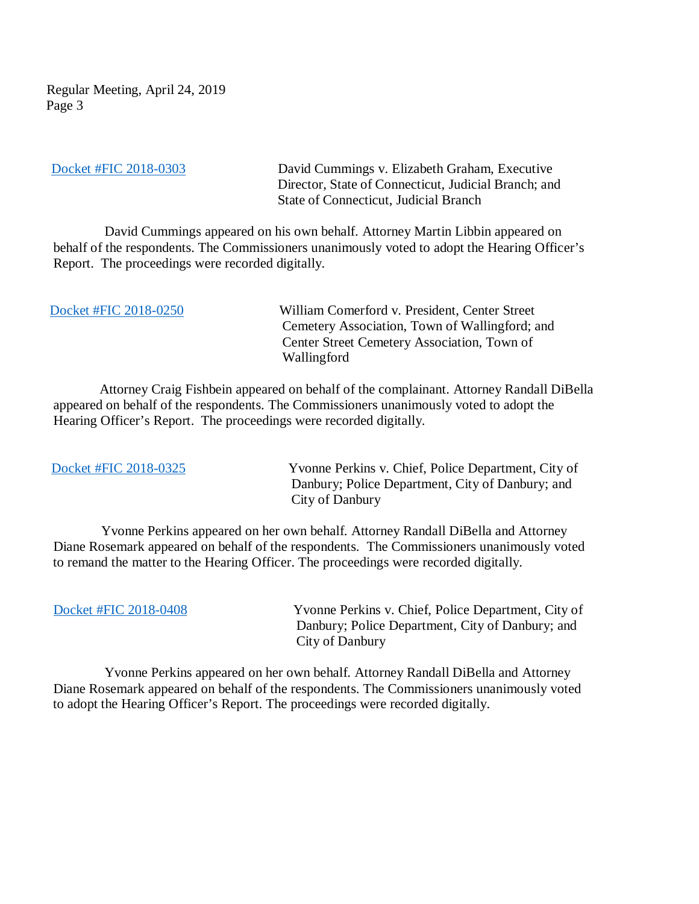Regular Meeting, April 24, 2019 Page 3

[Docket #FIC 2018-0303](https://www.ct.gov/foi/lib/foi/minutes/2019/april24/2018-0303.pdf) David Cummings v. Elizabeth Graham, Executive Director, State of Connecticut, Judicial Branch; and State of Connecticut, Judicial Branch

 David Cummings appeared on his own behalf. Attorney Martin Libbin appeared on behalf of the respondents. The Commissioners unanimously voted to adopt the Hearing Officer's Report. The proceedings were recorded digitally.

 [Docket #FIC 2018-0250](https://www.ct.gov/foi/lib/foi/minutes/2019/april24/2018-0250.pdf) William Comerford v. President, Center Street Cemetery Association, Town of Wallingford; and Center Street Cemetery Association, Town of Wallingford

 Attorney Craig Fishbein appeared on behalf of the complainant. Attorney Randall DiBella appeared on behalf of the respondents. The Commissioners unanimously voted to adopt the Hearing Officer's Report. The proceedings were recorded digitally.

[Docket #FIC 2018-0325](https://www.ct.gov/foi/lib/foi/minutes/2019/april24/2018-0325.pdf) Yvonne Perkins v. Chief, Police Department, City of Danbury; Police Department, City of Danbury; and City of Danbury

 Yvonne Perkins appeared on her own behalf. Attorney Randall DiBella and Attorney Diane Rosemark appeared on behalf of the respondents. The Commissioners unanimously voted to remand the matter to the Hearing Officer. The proceedings were recorded digitally.

 [Docket #FIC 2018-0408](https://www.ct.gov/foi/lib/foi/minutes/2019/april24/2018-0408.pdf) Yvonne Perkins v. Chief, Police Department, City of Danbury; Police Department, City of Danbury; and City of Danbury

 Yvonne Perkins appeared on her own behalf. Attorney Randall DiBella and Attorney Diane Rosemark appeared on behalf of the respondents. The Commissioners unanimously voted to adopt the Hearing Officer's Report. The proceedings were recorded digitally.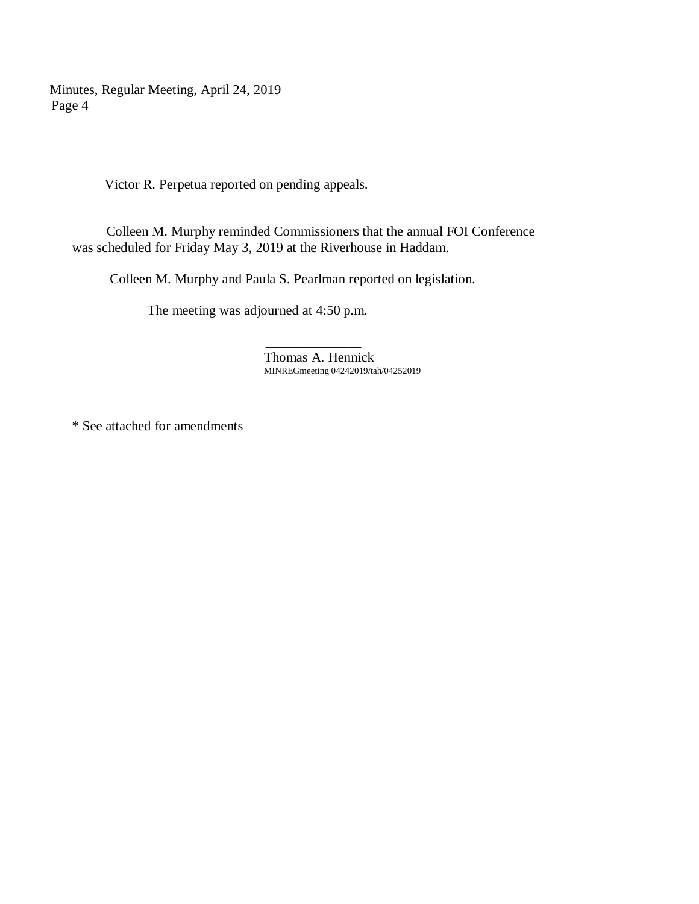Minutes, Regular Meeting, April 24, 2019 Page 4

Victor R. Perpetua reported on pending appeals.

 Colleen M. Murphy reminded Commissioners that the annual FOI Conference was scheduled for Friday May 3, 2019 at the Riverhouse in Haddam.

Colleen M. Murphy and Paula S. Pearlman reported on legislation.

The meeting was adjourned at 4:50 p.m.

 $\mathcal{L}_\text{max}$  and  $\mathcal{L}_\text{max}$  and  $\mathcal{L}_\text{max}$  and  $\mathcal{L}_\text{max}$ Thomas A. Hennick MINREGmeeting 04242019/tah/04252019

\* See attached for amendments